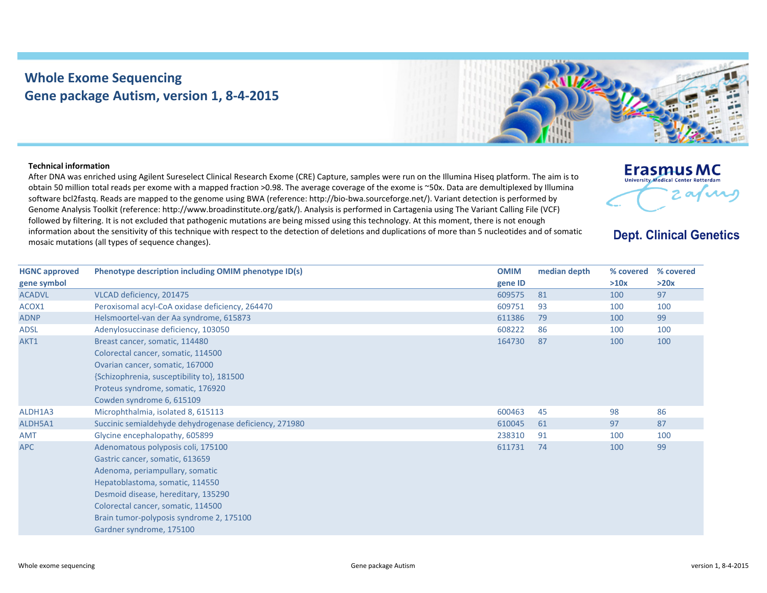## **Whole Exome Sequencing Gene package Autism, version 1, 8‐4‐2015**



## **Technical information**

After DNA was enriched using Agilent Sureselect Clinical Research Exome (CRE) Capture, samples were run on the Illumina Hiseq platform. The aim is to obtain 50 million total reads per exome with <sup>a</sup> mapped fraction >0.98. The average coverage of the exome is ~50x. Data are demultiplexed by Illumina software bcl2fastq. Reads are mapped to the genome using BWA (reference: http://bio‐bwa.sourceforge.net/). Variant detection is performed by Genome Analysis Toolkit (reference: http://www.broadinstitute.org/gatk/). Analysis is performed in Cartagenia using The Variant Calling File (VCF) followed by filtering. It is not excluded that pathogenic mutations are being missed using this technology. At this moment, there is not enough information about the sensitivity of this technique with respect to the detection of deletions and duplications of more than 5 nucleotides and of somatic mosaic mutations (all types of sequence changes).



## **Dept. Clinical Genetics**

| <b>HGNC approved</b> | Phenotype description including OMIM phenotype ID(s)                                                                                                                                                                                                                                             | <b>OMIM</b> | median depth | % covered | % covered |
|----------------------|--------------------------------------------------------------------------------------------------------------------------------------------------------------------------------------------------------------------------------------------------------------------------------------------------|-------------|--------------|-----------|-----------|
| gene symbol          |                                                                                                                                                                                                                                                                                                  | gene ID     |              | >10x      | >20x      |
| <b>ACADVL</b>        | VLCAD deficiency, 201475                                                                                                                                                                                                                                                                         | 609575      | 81           | 100       | 97        |
| ACOX1                | Peroxisomal acyl-CoA oxidase deficiency, 264470                                                                                                                                                                                                                                                  | 609751      | 93           | 100       | 100       |
| <b>ADNP</b>          | Helsmoortel-van der Aa syndrome, 615873                                                                                                                                                                                                                                                          | 611386      | 79           | 100       | 99        |
| <b>ADSL</b>          | Adenylosuccinase deficiency, 103050                                                                                                                                                                                                                                                              | 608222      | 86           | 100       | 100       |
| AKT1                 | Breast cancer, somatic, 114480<br>Colorectal cancer, somatic, 114500<br>Ovarian cancer, somatic, 167000<br>{Schizophrenia, susceptibility to}, 181500<br>Proteus syndrome, somatic, 176920<br>Cowden syndrome 6, 615109                                                                          | 164730      | 87           | 100       | 100       |
| ALDH1A3              | Microphthalmia, isolated 8, 615113                                                                                                                                                                                                                                                               | 600463      | 45           | 98        | 86        |
| ALDH5A1              | Succinic semialdehyde dehydrogenase deficiency, 271980                                                                                                                                                                                                                                           | 610045      | 61           | 97        | 87        |
| <b>AMT</b>           | Glycine encephalopathy, 605899                                                                                                                                                                                                                                                                   | 238310      | 91           | 100       | 100       |
| <b>APC</b>           | Adenomatous polyposis coli, 175100<br>Gastric cancer, somatic, 613659<br>Adenoma, periampullary, somatic<br>Hepatoblastoma, somatic, 114550<br>Desmoid disease, hereditary, 135290<br>Colorectal cancer, somatic, 114500<br>Brain tumor-polyposis syndrome 2, 175100<br>Gardner syndrome, 175100 | 611731      | 74           | 100       | 99        |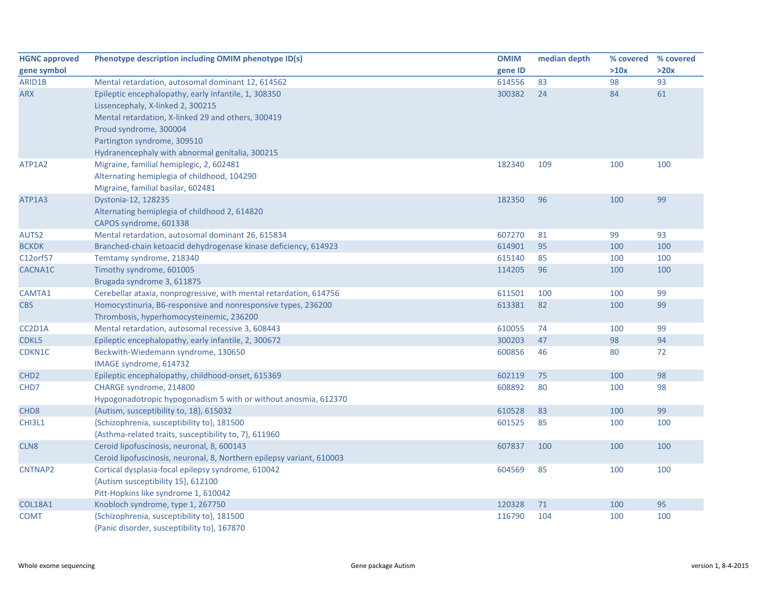| <b>HGNC approved</b> | Phenotype description including OMIM phenotype ID(s)                                                                                                                      | <b>OMIM</b> | median depth | % covered % covered |      |
|----------------------|---------------------------------------------------------------------------------------------------------------------------------------------------------------------------|-------------|--------------|---------------------|------|
| gene symbol          |                                                                                                                                                                           | gene ID     |              | >10x                | >20x |
| ARID1B               | Mental retardation, autosomal dominant 12, 614562                                                                                                                         | 614556      | 83           | 98                  | 93   |
| <b>ARX</b>           | Epileptic encephalopathy, early infantile, 1, 308350<br>Lissencephaly, X-linked 2, 300215<br>Mental retardation, X-linked 29 and others, 300419<br>Proud syndrome, 300004 | 300382      | 24           | 84                  | 61   |
|                      | Partington syndrome, 309510<br>Hydranencephaly with abnormal genitalia, 300215                                                                                            |             |              |                     |      |
| ATP1A2               | Migraine, familial hemiplegic, 2, 602481<br>Alternating hemiplegia of childhood, 104290<br>Migraine, familial basilar, 602481                                             | 182340      | 109          | 100                 | 100  |
| ATP1A3               | Dystonia-12, 128235<br>Alternating hemiplegia of childhood 2, 614820<br>CAPOS syndrome, 601338                                                                            | 182350      | 96           | 100                 | 99   |
| AUTS2                | Mental retardation, autosomal dominant 26, 615834                                                                                                                         | 607270      | 81           | 99                  | 93   |
| <b>BCKDK</b>         | Branched-chain ketoacid dehydrogenase kinase deficiency, 614923                                                                                                           | 614901      | 95           | 100                 | 100  |
| C12orf57             | Temtamy syndrome, 218340                                                                                                                                                  | 615140      | 85           | 100                 | 100  |
| CACNA1C              | Timothy syndrome, 601005<br>Brugada syndrome 3, 611875                                                                                                                    | 114205      | 96           | 100                 | 100  |
| CAMTA1               | Cerebellar ataxia, nonprogressive, with mental retardation, 614756                                                                                                        | 611501      | 100          | 100                 | 99   |
| <b>CBS</b>           | Homocystinuria, B6-responsive and nonresponsive types, 236200<br>Thrombosis, hyperhomocysteinemic, 236200                                                                 | 613381      | 82           | 100                 | 99   |
| CC2D1A               | Mental retardation, autosomal recessive 3, 608443                                                                                                                         | 610055      | 74           | 100                 | 99   |
| CDKL5                | Epileptic encephalopathy, early infantile, 2, 300672                                                                                                                      | 300203      | 47           | 98                  | 94   |
| CDKN1C               | Beckwith-Wiedemann syndrome, 130650<br>IMAGE syndrome, 614732                                                                                                             | 600856      | 46           | 80                  | 72   |
| CHD <sub>2</sub>     | Epileptic encephalopathy, childhood-onset, 615369                                                                                                                         | 602119      | 75           | 100                 | 98   |
| CHD7                 | CHARGE syndrome, 214800<br>Hypogonadotropic hypogonadism 5 with or without anosmia, 612370                                                                                | 608892      | 80           | 100                 | 98   |
| CHD <sub>8</sub>     | {Autism, susceptibility to, 18}, 615032                                                                                                                                   | 610528      | 83           | 100                 | 99   |
| CHI3L1               | {Schizophrenia, susceptibility to}, 181500<br>{Asthma-related traits, susceptibility to, 7}, 611960                                                                       | 601525      | 85           | 100                 | 100  |
| CLN <sub>8</sub>     | Ceroid lipofuscinosis, neuronal, 8, 600143<br>Ceroid lipofuscinosis, neuronal, 8, Northern epilepsy variant, 610003                                                       | 607837      | 100          | 100                 | 100  |
| CNTNAP2              | Cortical dysplasia-focal epilepsy syndrome, 610042<br>{Autism susceptibility 15}, 612100<br>Pitt-Hopkins like syndrome 1, 610042                                          | 604569      | 85           | 100                 | 100  |
| <b>COL18A1</b>       | Knobloch syndrome, type 1, 267750                                                                                                                                         | 120328      | 71           | 100                 | 95   |
| <b>COMT</b>          | {Schizophrenia, susceptibility to}, 181500<br>{Panic disorder, susceptibility to}, 167870                                                                                 | 116790      | 104          | 100                 | 100  |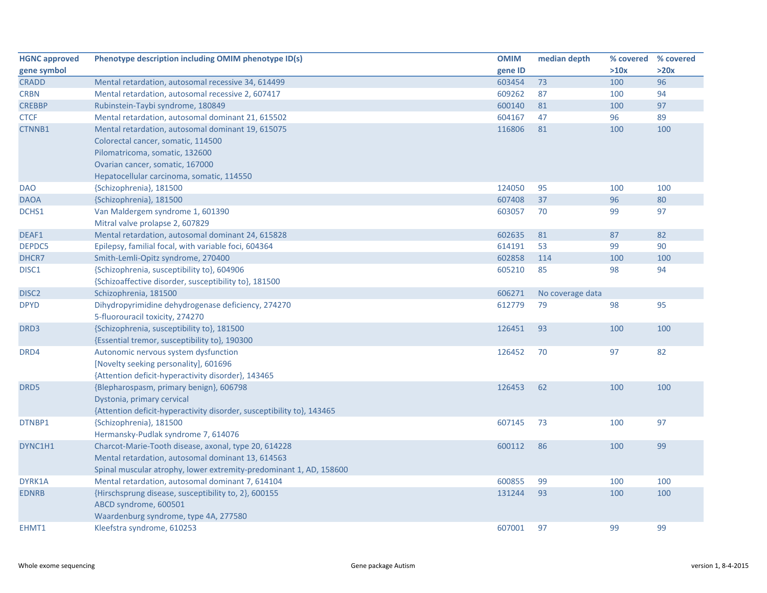| <b>HGNC approved</b> | Phenotype description including OMIM phenotype ID(s)                  | <b>OMIM</b> | median depth     | % covered | % covered |
|----------------------|-----------------------------------------------------------------------|-------------|------------------|-----------|-----------|
| gene symbol          |                                                                       | gene ID     |                  | >10x      | >20x      |
| <b>CRADD</b>         | Mental retardation, autosomal recessive 34, 614499                    | 603454      | 73               | 100       | 96        |
| <b>CRBN</b>          | Mental retardation, autosomal recessive 2, 607417                     | 609262      | 87               | 100       | 94        |
| <b>CREBBP</b>        | Rubinstein-Taybi syndrome, 180849                                     | 600140      | 81               | 100       | 97        |
| <b>CTCF</b>          | Mental retardation, autosomal dominant 21, 615502                     | 604167      | 47               | 96        | 89        |
| CTNNB1               | Mental retardation, autosomal dominant 19, 615075                     | 116806      | 81               | 100       | 100       |
|                      | Colorectal cancer, somatic, 114500                                    |             |                  |           |           |
|                      | Pilomatricoma, somatic, 132600                                        |             |                  |           |           |
|                      | Ovarian cancer, somatic, 167000                                       |             |                  |           |           |
|                      | Hepatocellular carcinoma, somatic, 114550                             |             |                  |           |           |
| <b>DAO</b>           | {Schizophrenia}, 181500                                               | 124050      | 95               | 100       | 100       |
| <b>DAOA</b>          | {Schizophrenia}, 181500                                               | 607408      | 37               | 96        | 80        |
| DCHS1                | Van Maldergem syndrome 1, 601390                                      | 603057      | 70               | 99        | 97        |
|                      | Mitral valve prolapse 2, 607829                                       |             |                  |           |           |
| DEAF1                | Mental retardation, autosomal dominant 24, 615828                     | 602635      | 81               | 87        | 82        |
| <b>DEPDC5</b>        | Epilepsy, familial focal, with variable foci, 604364                  | 614191      | 53               | 99        | 90        |
| DHCR7                | Smith-Lemli-Opitz syndrome, 270400                                    | 602858      | 114              | 100       | 100       |
| DISC1                | {Schizophrenia, susceptibility to}, 604906                            | 605210      | 85               | 98        | 94        |
|                      | {Schizoaffective disorder, susceptibility to}, 181500                 |             |                  |           |           |
| DISC <sub>2</sub>    | Schizophrenia, 181500                                                 | 606271      | No coverage data |           |           |
| <b>DPYD</b>          | Dihydropyrimidine dehydrogenase deficiency, 274270                    | 612779      | 79               | 98        | 95        |
|                      | 5-fluorouracil toxicity, 274270                                       |             |                  |           |           |
| DRD3                 | {Schizophrenia, susceptibility to}, 181500                            | 126451      | 93               | 100       | 100       |
|                      | {Essential tremor, susceptibility to}, 190300                         |             |                  |           |           |
| DRD4                 | Autonomic nervous system dysfunction                                  | 126452      | 70               | 97        | 82        |
|                      | [Novelty seeking personality], 601696                                 |             |                  |           |           |
|                      | {Attention deficit-hyperactivity disorder}, 143465                    |             |                  |           |           |
| DRD5                 | {Blepharospasm, primary benign}, 606798                               | 126453      | 62               | 100       | 100       |
|                      | Dystonia, primary cervical                                            |             |                  |           |           |
|                      | {Attention deficit-hyperactivity disorder, susceptibility to}, 143465 |             |                  |           |           |
| DTNBP1               | {Schizophrenia}, 181500                                               | 607145      | 73               | 100       | 97        |
|                      | Hermansky-Pudlak syndrome 7, 614076                                   |             |                  |           |           |
| DYNC1H1              | Charcot-Marie-Tooth disease, axonal, type 20, 614228                  | 600112      | 86               | 100       | 99        |
|                      | Mental retardation, autosomal dominant 13, 614563                     |             |                  |           |           |
|                      | Spinal muscular atrophy, lower extremity-predominant 1, AD, 158600    |             |                  |           |           |
| DYRK1A               | Mental retardation, autosomal dominant 7, 614104                      | 600855      | 99               | 100       | 100       |
| <b>EDNRB</b>         | {Hirschsprung disease, susceptibility to, 2}, 600155                  | 131244      | 93               | 100       | 100       |
|                      | ABCD syndrome, 600501                                                 |             |                  |           |           |
|                      | Waardenburg syndrome, type 4A, 277580                                 |             |                  |           |           |
| EHMT1                | Kleefstra syndrome, 610253                                            | 607001      | 97               | 99        | 99        |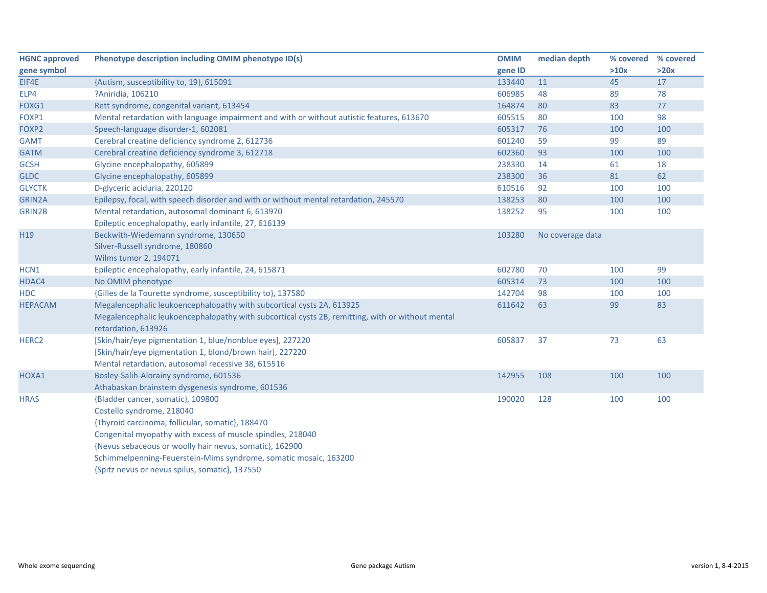| <b>HGNC approved</b> | Phenotype description including OMIM phenotype ID(s)                                             | <b>OMIM</b> | median depth     | % covered % covered |      |
|----------------------|--------------------------------------------------------------------------------------------------|-------------|------------------|---------------------|------|
| gene symbol          |                                                                                                  | gene ID     |                  | >10x                | >20x |
| EIF4E                | {Autism, susceptibility to, 19}, 615091                                                          | 133440      | 11               | 45                  | 17   |
| ELP4                 | ?Aniridia, 106210                                                                                | 606985      | 48               | 89                  | 78   |
| FOXG1                | Rett syndrome, congenital variant, 613454                                                        | 164874      | 80               | 83                  | 77   |
| FOXP1                | Mental retardation with language impairment and with or without autistic features, 613670        | 605515      | 80               | 100                 | 98   |
| FOXP2                | Speech-language disorder-1, 602081                                                               | 605317      | 76               | 100                 | 100  |
| <b>GAMT</b>          | Cerebral creatine deficiency syndrome 2, 612736                                                  | 601240      | 59               | 99                  | 89   |
| <b>GATM</b>          | Cerebral creatine deficiency syndrome 3, 612718                                                  | 602360      | 93               | 100                 | 100  |
| <b>GCSH</b>          | Glycine encephalopathy, 605899                                                                   | 238330      | 14               | 61                  | 18   |
| <b>GLDC</b>          | Glycine encephalopathy, 605899                                                                   | 238300      | 36               | 81                  | 62   |
| <b>GLYCTK</b>        | D-glyceric aciduria, 220120                                                                      | 610516      | 92               | 100                 | 100  |
| GRIN2A               | Epilepsy, focal, with speech disorder and with or without mental retardation, 245570             | 138253      | 80               | 100                 | 100  |
| <b>GRIN2B</b>        | Mental retardation, autosomal dominant 6, 613970                                                 | 138252      | 95               | 100                 | 100  |
|                      | Epileptic encephalopathy, early infantile, 27, 616139                                            |             |                  |                     |      |
| H19                  | Beckwith-Wiedemann syndrome, 130650                                                              | 103280      | No coverage data |                     |      |
|                      | Silver-Russell syndrome, 180860                                                                  |             |                  |                     |      |
|                      | Wilms tumor 2, 194071                                                                            |             |                  |                     |      |
| HCN1                 | Epileptic encephalopathy, early infantile, 24, 615871                                            | 602780      | 70               | 100                 | 99   |
| HDAC4                | No OMIM phenotype                                                                                | 605314      | 73               | 100                 | 100  |
| <b>HDC</b>           | {Gilles de la Tourette syndrome, susceptibility to}, 137580                                      | 142704      | 98               | 100                 | 100  |
| <b>HEPACAM</b>       | Megalencephalic leukoencephalopathy with subcortical cysts 2A, 613925                            | 611642      | 63               | 99                  | 83   |
|                      | Megalencephalic leukoencephalopathy with subcortical cysts 2B, remitting, with or without mental |             |                  |                     |      |
|                      | retardation, 613926                                                                              |             |                  |                     |      |
| HERC <sub>2</sub>    | [Skin/hair/eye pigmentation 1, blue/nonblue eyes], 227220                                        | 605837      | 37               | 73                  | 63   |
|                      | [Skin/hair/eye pigmentation 1, blond/brown hair], 227220                                         |             |                  |                     |      |
|                      | Mental retardation, autosomal recessive 38, 615516                                               |             |                  |                     |      |
| HOXA1                | Bosley-Salih-Alorainy syndrome, 601536                                                           | 142955      | 108              | 100                 | 100  |
|                      | Athabaskan brainstem dysgenesis syndrome, 601536                                                 |             |                  |                     |      |
| <b>HRAS</b>          | {Bladder cancer, somatic}, 109800                                                                | 190020      | 128              | 100                 | 100  |
|                      | Costello syndrome, 218040                                                                        |             |                  |                     |      |
|                      | {Thyroid carcinoma, follicular, somatic}, 188470                                                 |             |                  |                     |      |
|                      | Congenital myopathy with excess of muscle spindles, 218040                                       |             |                  |                     |      |
|                      | {Nevus sebaceous or woolly hair nevus, somatic}, 162900                                          |             |                  |                     |      |
|                      | Schimmelpenning-Feuerstein-Mims syndrome, somatic mosaic, 163200                                 |             |                  |                     |      |
|                      | {Spitz nevus or nevus spilus, somatic}, 137550                                                   |             |                  |                     |      |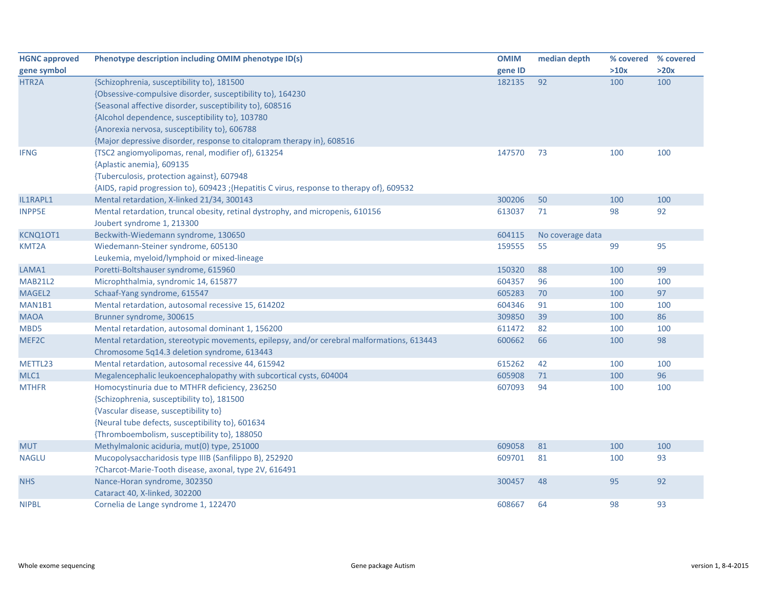| <b>HGNC approved</b> | Phenotype description including OMIM phenotype ID(s)                                       | <b>OMIM</b> | median depth     | % covered | % covered |
|----------------------|--------------------------------------------------------------------------------------------|-------------|------------------|-----------|-----------|
| gene symbol          |                                                                                            | gene ID     |                  | >10x      | >20x      |
| HTR2A                | {Schizophrenia, susceptibility to}, 181500                                                 | 182135      | 92               | 100       | 100       |
|                      | {Obsessive-compulsive disorder, susceptibility to}, 164230                                 |             |                  |           |           |
|                      | {Seasonal affective disorder, susceptibility to}, 608516                                   |             |                  |           |           |
|                      | {Alcohol dependence, susceptibility to}, 103780                                            |             |                  |           |           |
|                      | {Anorexia nervosa, susceptibility to}, 606788                                              |             |                  |           |           |
|                      | {Major depressive disorder, response to citalopram therapy in}, 608516                     |             |                  |           |           |
| <b>IFNG</b>          | {TSC2 angiomyolipomas, renal, modifier of}, 613254                                         | 147570      | 73               | 100       | 100       |
|                      | {Aplastic anemia}, 609135                                                                  |             |                  |           |           |
|                      | {Tuberculosis, protection against}, 607948                                                 |             |                  |           |           |
|                      | {AIDS, rapid progression to}, 609423 ;{Hepatitis C virus, response to therapy of}, 609532  |             |                  |           |           |
| IL1RAPL1             | Mental retardation, X-linked 21/34, 300143                                                 | 300206      | 50               | 100       | 100       |
| <b>INPP5E</b>        | Mental retardation, truncal obesity, retinal dystrophy, and micropenis, 610156             | 613037      | 71               | 98        | 92        |
|                      | Joubert syndrome 1, 213300                                                                 |             |                  |           |           |
| KCNQ10T1             | Beckwith-Wiedemann syndrome, 130650                                                        | 604115      | No coverage data |           |           |
| KMT2A                | Wiedemann-Steiner syndrome, 605130                                                         | 159555      | 55               | 99        | 95        |
|                      | Leukemia, myeloid/lymphoid or mixed-lineage                                                |             |                  |           |           |
| LAMA1                | Poretti-Boltshauser syndrome, 615960                                                       | 150320      | 88               | 100       | 99        |
| <b>MAB21L2</b>       | Microphthalmia, syndromic 14, 615877                                                       | 604357      | 96               | 100       | 100       |
| MAGEL2               | Schaaf-Yang syndrome, 615547                                                               | 605283      | 70               | 100       | 97        |
| MAN1B1               | Mental retardation, autosomal recessive 15, 614202                                         | 604346      | 91               | 100       | 100       |
| <b>MAOA</b>          | Brunner syndrome, 300615                                                                   | 309850      | 39               | 100       | 86        |
| MBD5                 | Mental retardation, autosomal dominant 1, 156200                                           | 611472      | 82               | 100       | 100       |
| MEF2C                | Mental retardation, stereotypic movements, epilepsy, and/or cerebral malformations, 613443 | 600662      | 66               | 100       | 98        |
|                      | Chromosome 5q14.3 deletion syndrome, 613443                                                |             |                  |           |           |
| METTL23              | Mental retardation, autosomal recessive 44, 615942                                         | 615262      | 42               | 100       | 100       |
| MLC1                 | Megalencephalic leukoencephalopathy with subcortical cysts, 604004                         | 605908      | 71               | 100       | 96        |
| <b>MTHFR</b>         | Homocystinuria due to MTHFR deficiency, 236250                                             | 607093      | 94               | 100       | 100       |
|                      | {Schizophrenia, susceptibility to}, 181500                                                 |             |                  |           |           |
|                      | {Vascular disease, susceptibility to}                                                      |             |                  |           |           |
|                      | {Neural tube defects, susceptibility to}, 601634                                           |             |                  |           |           |
|                      | {Thromboembolism, susceptibility to}, 188050                                               |             |                  |           |           |
| <b>MUT</b>           | Methylmalonic aciduria, mut(0) type, 251000                                                | 609058      | 81               | 100       | 100       |
| <b>NAGLU</b>         | Mucopolysaccharidosis type IIIB (Sanfilippo B), 252920                                     | 609701      | 81               | 100       | 93        |
|                      | ?Charcot-Marie-Tooth disease, axonal, type 2V, 616491                                      |             |                  |           |           |
| <b>NHS</b>           | Nance-Horan syndrome, 302350                                                               | 300457      | 48               | 95        | 92        |
|                      | Cataract 40, X-linked, 302200                                                              |             |                  |           |           |
| <b>NIPBL</b>         | Cornelia de Lange syndrome 1, 122470                                                       | 608667      | 64               | 98        | 93        |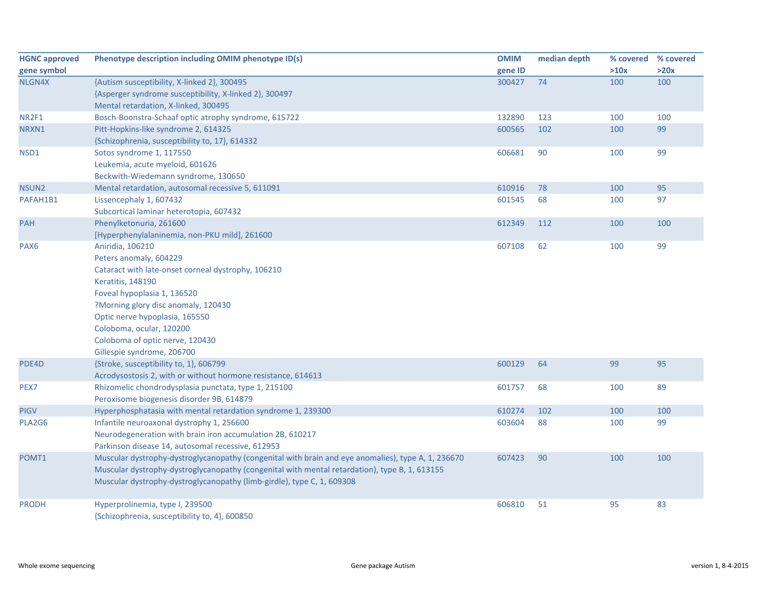| <b>HGNC approved</b> | Phenotype description including OMIM phenotype ID(s)                                               | <b>OMIM</b> | median depth | % covered | % covered |
|----------------------|----------------------------------------------------------------------------------------------------|-------------|--------------|-----------|-----------|
| gene symbol          |                                                                                                    | gene ID     |              | >10x      | >20x      |
| NLGN4X               | {Autism susceptibility, X-linked 2}, 300495                                                        | 300427      | 74           | 100       | 100       |
|                      | {Asperger syndrome susceptibility, X-linked 2}, 300497                                             |             |              |           |           |
|                      | Mental retardation, X-linked, 300495                                                               |             |              |           |           |
| NR2F1                | Bosch-Boonstra-Schaaf optic atrophy syndrome, 615722                                               | 132890      | 123          | 100       | 100       |
| NRXN1                | Pitt-Hopkins-like syndrome 2, 614325                                                               | 600565      | 102          | 100       | 99        |
|                      | {Schizophrenia, susceptibility to, 17}, 614332                                                     |             |              |           |           |
| NSD1                 | Sotos syndrome 1, 117550                                                                           | 606681      | 90           | 100       | 99        |
|                      | Leukemia, acute myeloid, 601626                                                                    |             |              |           |           |
|                      | Beckwith-Wiedemann syndrome, 130650                                                                |             |              |           |           |
| NSUN2                | Mental retardation, autosomal recessive 5, 611091                                                  | 610916      | 78           | 100       | 95        |
| PAFAH1B1             | Lissencephaly 1, 607432                                                                            | 601545      | 68           | 100       | 97        |
|                      | Subcortical laminar heterotopia, 607432                                                            |             |              |           |           |
| <b>PAH</b>           | Phenylketonuria, 261600                                                                            | 612349      | 112          | 100       | 100       |
|                      | [Hyperphenylalaninemia, non-PKU mild], 261600                                                      |             |              |           |           |
| PAX <sub>6</sub>     | Aniridia, 106210                                                                                   | 607108      | 62           | 100       | 99        |
|                      | Peters anomaly, 604229                                                                             |             |              |           |           |
|                      | Cataract with late-onset corneal dystrophy, 106210                                                 |             |              |           |           |
|                      | Keratitis, 148190                                                                                  |             |              |           |           |
|                      | Foveal hypoplasia 1, 136520                                                                        |             |              |           |           |
|                      | ?Morning glory disc anomaly, 120430                                                                |             |              |           |           |
|                      | Optic nerve hypoplasia, 165550                                                                     |             |              |           |           |
|                      | Coloboma, ocular, 120200                                                                           |             |              |           |           |
|                      | Coloboma of optic nerve, 120430                                                                    |             |              |           |           |
|                      | Gillespie syndrome, 206700                                                                         |             |              |           |           |
| PDE4D                | {Stroke, susceptibility to, 1}, 606799                                                             | 600129      | 64           | 99        | 95        |
|                      | Acrodysostosis 2, with or without hormone resistance, 614613                                       |             |              |           |           |
| PEX7                 | Rhizomelic chondrodysplasia punctata, type 1, 215100                                               | 601757      | 68           | 100       | 89        |
|                      | Peroxisome biogenesis disorder 9B, 614879                                                          |             |              |           |           |
| <b>PIGV</b>          | Hyperphosphatasia with mental retardation syndrome 1, 239300                                       | 610274      | 102          | 100       | 100       |
| PLA2G6               | Infantile neuroaxonal dystrophy 1, 256600                                                          | 603604      | 88           | 100       | 99        |
|                      | Neurodegeneration with brain iron accumulation 2B, 610217                                          |             |              |           |           |
|                      | Parkinson disease 14, autosomal recessive, 612953                                                  |             |              |           |           |
| POMT1                | Muscular dystrophy-dystroglycanopathy (congenital with brain and eye anomalies), type A, 1, 236670 | 607423      | 90           | 100       | 100       |
|                      | Muscular dystrophy-dystroglycanopathy (congenital with mental retardation), type B, 1, 613155      |             |              |           |           |
|                      | Muscular dystrophy-dystroglycanopathy (limb-girdle), type C, 1, 609308                             |             |              |           |           |
| <b>PRODH</b>         | Hyperprolinemia, type I, 239500                                                                    | 606810      | 51           | 95        | 83        |
|                      | {Schizophrenia, susceptibility to, 4}, 600850                                                      |             |              |           |           |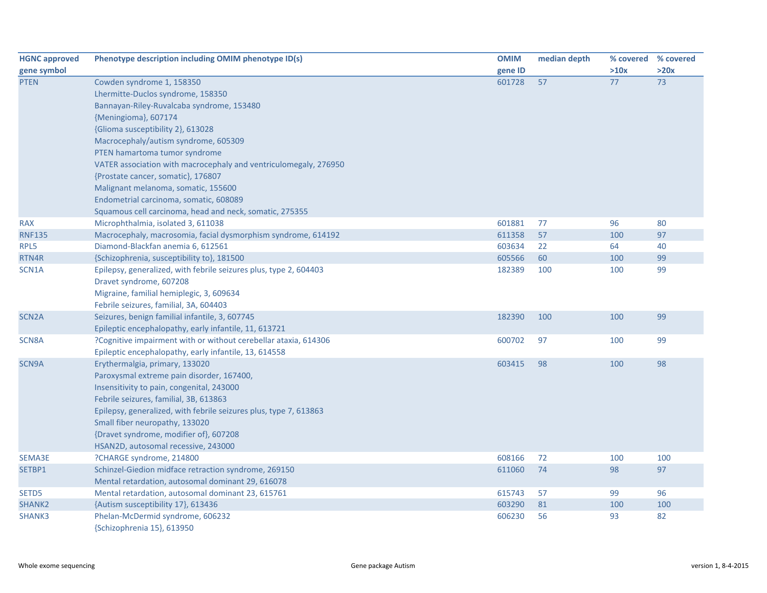| <b>HGNC approved</b> | Phenotype description including OMIM phenotype ID(s)              | <b>OMIM</b> | median depth | % covered % covered |      |
|----------------------|-------------------------------------------------------------------|-------------|--------------|---------------------|------|
| gene symbol          |                                                                   | gene ID     |              | >10x                | >20x |
| <b>PTEN</b>          | Cowden syndrome 1, 158350                                         | 601728      | 57           | 77                  | 73   |
|                      | Lhermitte-Duclos syndrome, 158350                                 |             |              |                     |      |
|                      | Bannayan-Riley-Ruvalcaba syndrome, 153480                         |             |              |                     |      |
|                      | {Meningioma}, 607174                                              |             |              |                     |      |
|                      | {Glioma susceptibility 2}, 613028                                 |             |              |                     |      |
|                      | Macrocephaly/autism syndrome, 605309                              |             |              |                     |      |
|                      | PTEN hamartoma tumor syndrome                                     |             |              |                     |      |
|                      | VATER association with macrocephaly and ventriculomegaly, 276950  |             |              |                     |      |
|                      | {Prostate cancer, somatic}, 176807                                |             |              |                     |      |
|                      | Malignant melanoma, somatic, 155600                               |             |              |                     |      |
|                      | Endometrial carcinoma, somatic, 608089                            |             |              |                     |      |
|                      | Squamous cell carcinoma, head and neck, somatic, 275355           |             |              |                     |      |
| <b>RAX</b>           | Microphthalmia, isolated 3, 611038                                | 601881      | 77           | 96                  | 80   |
| <b>RNF135</b>        | Macrocephaly, macrosomia, facial dysmorphism syndrome, 614192     | 611358      | 57           | 100                 | 97   |
| RPL5                 | Diamond-Blackfan anemia 6, 612561                                 | 603634      | 22           | 64                  | 40   |
| RTN4R                | {Schizophrenia, susceptibility to}, 181500                        | 605566      | 60           | 100                 | 99   |
| SCN1A                | Epilepsy, generalized, with febrile seizures plus, type 2, 604403 | 182389      | 100          | 100                 | 99   |
|                      | Dravet syndrome, 607208                                           |             |              |                     |      |
|                      | Migraine, familial hemiplegic, 3, 609634                          |             |              |                     |      |
|                      | Febrile seizures, familial, 3A, 604403                            |             |              |                     |      |
| SCN <sub>2</sub> A   | Seizures, benign familial infantile, 3, 607745                    | 182390      | 100          | 100                 | 99   |
|                      | Epileptic encephalopathy, early infantile, 11, 613721             |             |              |                     |      |
| SCN8A                | ?Cognitive impairment with or without cerebellar ataxia, 614306   | 600702      | 97           | 100                 | 99   |
|                      | Epileptic encephalopathy, early infantile, 13, 614558             |             |              |                     |      |
| SCN9A                | Erythermalgia, primary, 133020                                    | 603415      | 98           | 100                 | 98   |
|                      | Paroxysmal extreme pain disorder, 167400,                         |             |              |                     |      |
|                      | Insensitivity to pain, congenital, 243000                         |             |              |                     |      |
|                      | Febrile seizures, familial, 3B, 613863                            |             |              |                     |      |
|                      | Epilepsy, generalized, with febrile seizures plus, type 7, 613863 |             |              |                     |      |
|                      | Small fiber neuropathy, 133020                                    |             |              |                     |      |
|                      | {Dravet syndrome, modifier of}, 607208                            |             |              |                     |      |
|                      | HSAN2D, autosomal recessive, 243000                               |             |              |                     |      |
| SEMA3E               | ?CHARGE syndrome, 214800                                          | 608166      | 72           | 100                 | 100  |
| SETBP1               | Schinzel-Giedion midface retraction syndrome, 269150              | 611060      | 74           | 98                  | 97   |
|                      | Mental retardation, autosomal dominant 29, 616078                 |             |              |                     |      |
| SETD5                | Mental retardation, autosomal dominant 23, 615761                 | 615743      | 57           | 99                  | 96   |
| SHANK <sub>2</sub>   | {Autism susceptibility 17}, 613436                                | 603290      | 81           | 100                 | 100  |
| SHANK3               | Phelan-McDermid syndrome, 606232                                  | 606230      | 56           | 93                  | 82   |
|                      | {Schizophrenia 15}, 613950                                        |             |              |                     |      |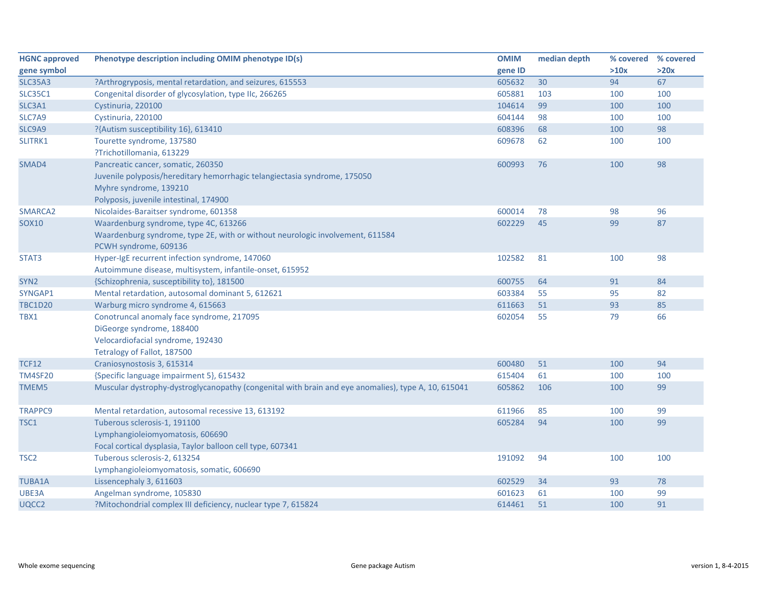| <b>HGNC approved</b> | Phenotype description including OMIM phenotype ID(s)                                                | <b>OMIM</b> | median depth | % covered | % covered |
|----------------------|-----------------------------------------------------------------------------------------------------|-------------|--------------|-----------|-----------|
| gene symbol          |                                                                                                     | gene ID     |              | >10x      | >20x      |
| <b>SLC35A3</b>       | ?Arthrogryposis, mental retardation, and seizures, 615553                                           | 605632      | 30           | 94        | 67        |
| <b>SLC35C1</b>       | Congenital disorder of glycosylation, type IIc, 266265                                              | 605881      | 103          | 100       | 100       |
| SLC3A1               | Cystinuria, 220100                                                                                  | 104614      | 99           | 100       | 100       |
| SLC7A9               | Cystinuria, 220100                                                                                  | 604144      | 98           | 100       | 100       |
| SLC9A9               | ?{Autism susceptibility 16}, 613410                                                                 | 608396      | 68           | 100       | 98        |
| SLITRK1              | Tourette syndrome, 137580                                                                           | 609678      | 62           | 100       | 100       |
|                      | ?Trichotillomania, 613229                                                                           |             |              |           |           |
| SMAD4                | Pancreatic cancer, somatic, 260350                                                                  | 600993      | 76           | 100       | 98        |
|                      | Juvenile polyposis/hereditary hemorrhagic telangiectasia syndrome, 175050                           |             |              |           |           |
|                      | Myhre syndrome, 139210                                                                              |             |              |           |           |
|                      | Polyposis, juvenile intestinal, 174900                                                              |             |              |           |           |
| SMARCA2              | Nicolaides-Baraitser syndrome, 601358                                                               | 600014      | 78           | 98        | 96        |
| <b>SOX10</b>         | Waardenburg syndrome, type 4C, 613266                                                               | 602229      | 45           | 99        | 87        |
|                      | Waardenburg syndrome, type 2E, with or without neurologic involvement, 611584                       |             |              |           |           |
|                      | PCWH syndrome, 609136                                                                               |             |              |           |           |
| STAT3                | Hyper-IgE recurrent infection syndrome, 147060                                                      | 102582      | 81           | 100       | 98        |
|                      | Autoimmune disease, multisystem, infantile-onset, 615952                                            |             |              |           |           |
| SYN <sub>2</sub>     | {Schizophrenia, susceptibility to}, 181500                                                          | 600755      | 64           | 91        | 84        |
| SYNGAP1              | Mental retardation, autosomal dominant 5, 612621                                                    | 603384      | 55           | 95        | 82        |
| <b>TBC1D20</b>       | Warburg micro syndrome 4, 615663                                                                    | 611663      | 51           | 93        | 85        |
| TBX1                 | Conotruncal anomaly face syndrome, 217095                                                           | 602054      | 55           | 79        | 66        |
|                      | DiGeorge syndrome, 188400                                                                           |             |              |           |           |
|                      | Velocardiofacial syndrome, 192430                                                                   |             |              |           |           |
|                      | Tetralogy of Fallot, 187500                                                                         |             |              |           |           |
| <b>TCF12</b>         | Craniosynostosis 3, 615314                                                                          | 600480      | 51           | 100       | 94        |
| <b>TM4SF20</b>       | {Specific language impairment 5}, 615432                                                            | 615404      | 61           | 100       | 100       |
| TMEM5                | Muscular dystrophy-dystroglycanopathy (congenital with brain and eye anomalies), type A, 10, 615041 | 605862      | 106          | 100       | 99        |
|                      |                                                                                                     |             |              |           |           |
| <b>TRAPPC9</b>       | Mental retardation, autosomal recessive 13, 613192                                                  | 611966      | 85           | 100       | 99        |
| TSC1                 | Tuberous sclerosis-1, 191100                                                                        | 605284      | 94           | 100       | 99        |
|                      | Lymphangioleiomyomatosis, 606690                                                                    |             |              |           |           |
|                      | Focal cortical dysplasia, Taylor balloon cell type, 607341                                          |             |              |           |           |
| TSC <sub>2</sub>     | Tuberous sclerosis-2, 613254                                                                        | 191092      | 94           | 100       | 100       |
|                      | Lymphangioleiomyomatosis, somatic, 606690                                                           |             |              |           |           |
| TUBA1A               | Lissencephaly 3, 611603                                                                             | 602529      | 34           | 93        | 78        |
| UBE3A                | Angelman syndrome, 105830                                                                           | 601623      | 61           | 100       | 99        |
| UQCC2                | ?Mitochondrial complex III deficiency, nuclear type 7, 615824                                       | 614461      | 51           | 100       | 91        |